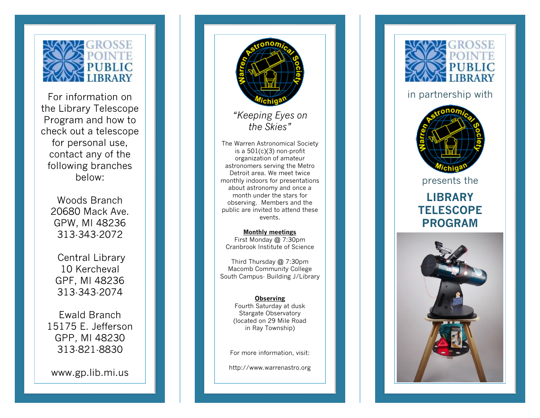

For information on the Library Telescope Program and how to check out a telescope for personal use, contact any of the following branches below:

Woods Branch 20680 Mack Ave. GPW, MI 48236 313 -343 -2072

Central Library 10 Kercheval GPF, MI 48236 313 -343 -2074

Ewald Branch 15175 E. Jefferson GPP, MI 48230 313 -821 -8830

www.gp.lib.mi.us